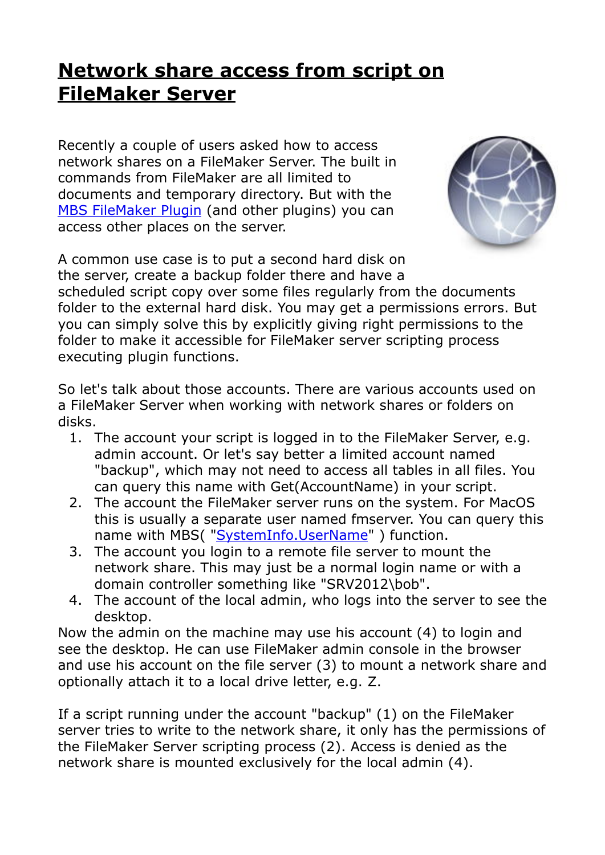## **[Network share access from script on](https://www.mbs-plugins.com/archive/2019-11-08/Network_share_access_from_scri/monkeybreadsoftware_blog_filemaker)  [FileMaker Server](https://www.mbs-plugins.com/archive/2019-11-08/Network_share_access_from_scri/monkeybreadsoftware_blog_filemaker)**

Recently a couple of users asked how to access network shares on a FileMaker Server. The built in commands from FileMaker are all limited to documents and temporary directory. But with the [MBS FileMaker Plugin](http://monkeybreadsoftware.com/filemaker/) (and other plugins) you can access other places on the server.



A common use case is to put a second hard disk on the server, create a backup folder there and have a scheduled script copy over some files regularly from the documents folder to the external hard disk. You may get a permissions errors. But you can simply solve this by explicitly giving right permissions to the folder to make it accessible for FileMaker server scripting process executing plugin functions.

So let's talk about those accounts. There are various accounts used on a FileMaker Server when working with network shares or folders on disks.

- 1. The account your script is logged in to the FileMaker Server, e.g. admin account. Or let's say better a limited account named "backup", which may not need to access all tables in all files. You can query this name with Get(AccountName) in your script.
- 2. The account the FileMaker server runs on the system. For MacOS this is usually a separate user named fmserver. You can query this name with MBS(["SystemInfo.UserName](http://www.mbsplugins.eu/SystemInfoUserName.shtml)") function.
- 3. The account you login to a remote file server to mount the network share. This may just be a normal login name or with a domain controller something like "SRV2012\bob".
- 4. The account of the local admin, who logs into the server to see the desktop.

Now the admin on the machine may use his account (4) to login and see the desktop. He can use FileMaker admin console in the browser and use his account on the file server (3) to mount a network share and optionally attach it to a local drive letter, e.g. Z.

If a script running under the account "backup" (1) on the FileMaker server tries to write to the network share, it only has the permissions of the FileMaker Server scripting process (2). Access is denied as the network share is mounted exclusively for the local admin (4).